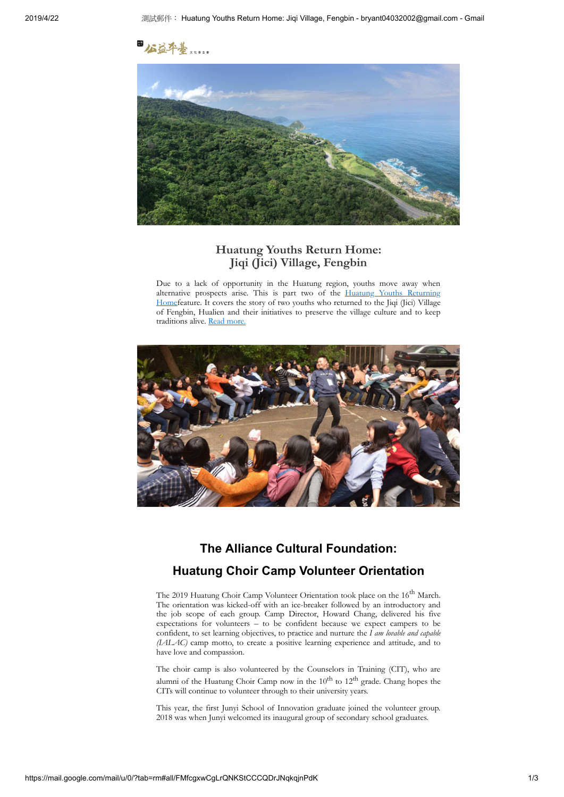

#### **Huatung Youths Return Home: Jiqi (Jici) Village, Fengbin**

Due to a lack of opportunity in the Huatung region, youths move away when alternative prospects arise. This is part two of the Huatung Youths Returning [Homefeature. It covers the story of two youths who returned to the Jiqi \(Jici\) Village](https://crm.thealliance.org.tw/sites/all/modules/civicrm/extern/url.php?u=6920&qid=1204535) of Fengbin, Hualien and their initiatives to preserve the village culture and to keep traditions alive. [Read more.](https://crm.thealliance.org.tw/sites/all/modules/civicrm/extern/url.php?u=6921&qid=1204535)



# **The Alliance Cultural Foundation: Huatung Choir Camp Volunteer Orientation**

The 2019 Huatung Choir Camp Volunteer Orientation took place on the 16<sup>th</sup> March. The orientation was kicked-off with an ice-breaker followed by an introductory and the job scope of each group. Camp Director, Howard Chang, delivered his five expectations for volunteers – to be confident because we expect campers to be confident, to set learning objectives, to practice and nurture the *I am lovable and capable (IALAC)* camp motto, to create a positive learning experience and attitude, and to have love and compassion.

The choir camp is also volunteered by the Counselors in Training (CIT), who are alumni of the Huatung Choir Camp now in the  $10^{th}$  to  $12^{th}$  grade. Chang hopes the CITs will continue to volunteer through to their university years.

This year, the first Junyi School of Innovation graduate joined the volunteer group. 2018 was when Junyi welcomed its inaugural group of secondary school graduates.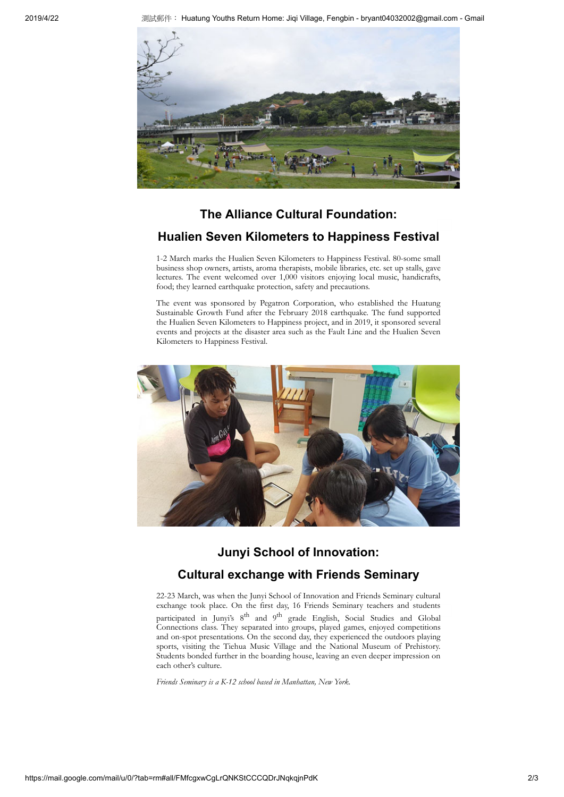

# **The Alliance Cultural Foundation:**

### **Hualien Seven Kilometers to Happiness Festival**

1-2 March marks the Hualien Seven Kilometers to Happiness Festival. 80-some small business shop owners, artists, aroma therapists, mobile libraries, etc. set up stalls, gave lectures. The event welcomed over 1,000 visitors enjoying local music, handicrafts, food; they learned earthquake protection, safety and precautions.

The event was sponsored by Pegatron Corporation, who established the Huatung Sustainable Growth Fund after the February 2018 earthquake. The fund supported the Hualien Seven Kilometers to Happiness project, and in 2019, it sponsored several events and projects at the disaster area such as the Fault Line and the Hualien Seven Kilometers to Happiness Festival.



### **Junyi School of Innovation:**

### **Cultural exchange with Friends Seminary**

22-23 March, was when the Junyi School of Innovation and Friends Seminary cultural exchange took place. On the first day, 16 Friends Seminary teachers and students participated in Junyi's 8<sup>th</sup> and 9<sup>th</sup> grade English, Social Studies and Global Connections class. They separated into groups, played games, enjoyed competitions and on-spot presentations. On the second day, they experienced the outdoors playing sports, visiting the Tiehua Music Village and the National Museum of Prehistory. Students bonded further in the boarding house, leaving an even deeper impression on each other's culture.

*Friends Seminary is a K-12 school based in Manhattan, New York.*